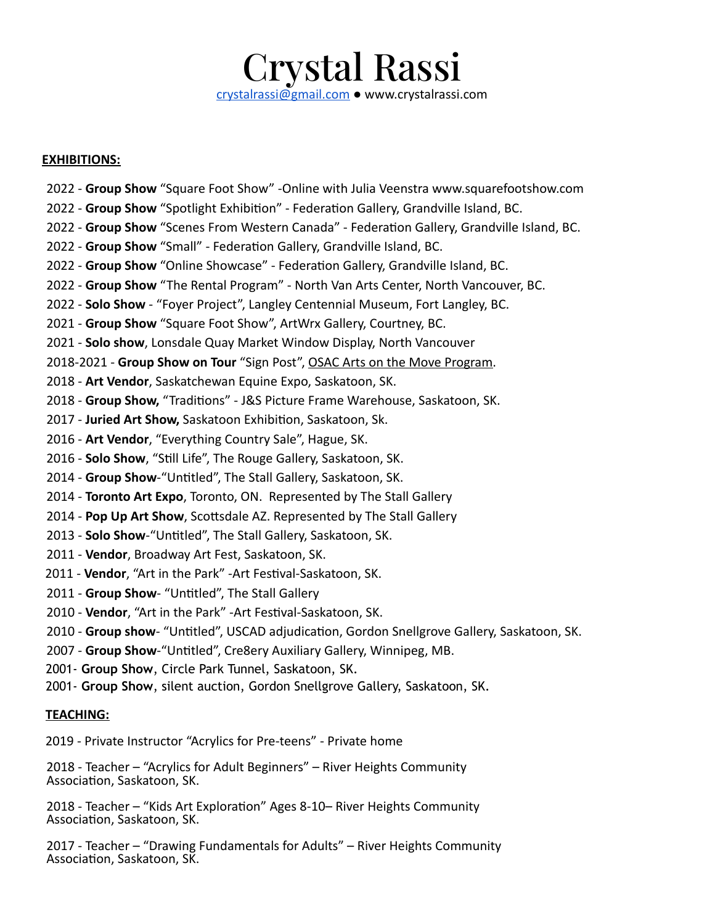# Crystal Rassi [crystalrassi@gmail.com](mailto:crystalrassi@gmail.com) ● www.crystalrassi.com

#### **EXHIBITIONS:**

- 2022 **Group Show** "Square Foot Show" -Online with Julia Veenstra www.squarefootshow.com
- 2022 Group Show "Spotlight Exhibition" Federation Gallery, Grandville Island, BC.
- 2022 Group Show "Scenes From Western Canada" Federation Gallery, Grandville Island, BC.
- 2022 Group Show "Small" Federation Gallery, Grandville Island, BC.
- 2022 Group Show "Online Showcase" Federation Gallery, Grandville Island, BC.
- 2022 **Group Show** "The Rental Program" North Van Arts Center, North Vancouver, BC.
- 2022 **Solo Show** "Foyer Project", Langley Centennial Museum, Fort Langley, BC.
- 2021 **Group Show** "Square Foot Show", ArtWrx Gallery, Courtney, BC.
- 2021 **Solo show**, Lonsdale Quay Market Window Display, North Vancouver
- 2018-2021 **Group Show on Tour** "Sign Post", OSAC Arts on the Move Program.
- 2018 **Art Vendor**, Saskatchewan Equine Expo, Saskatoon, SK.
- 2018 Group Show, "Traditions" J&S Picture Frame Warehouse, Saskatoon, SK.
- 2017 Juried Art Show, Saskatoon Exhibition, Saskatoon, Sk.
- 2016 **Art Vendor**, "Everything Country Sale", Hague, SK.
- 2016 **Solo Show**, "Still Life", The Rouge Gallery, Saskatoon, SK.
- 2014 Group Show-"Untitled", The Stall Gallery, Saskatoon, SK.
- 2014 **Toronto Art Expo**, Toronto, ON. Represented by The Stall Gallery
- 2014 **Pop Up Art Show**, Scottsdale AZ. Represented by The Stall Gallery
- 2013 **Solo Show**-"Untitled", The Stall Gallery, Saskatoon, SK.
- 2011 **Vendor**, Broadway Art Fest, Saskatoon, SK.
- 2011 Vendor, "Art in the Park" Art Festival-Saskatoon, SK.
- 2011 Group Show- "Untitled", The Stall Gallery
- 2010 **Vendor**, "Art in the Park" -Art Festival-Saskatoon, SK.
- 2010 **Group show** "Untitled", USCAD adjudication, Gordon Snellgrove Gallery, Saskatoon, SK.
- 2007 Group Show-"Untitled", Cre8ery Auxiliary Gallery, Winnipeg, MB.
- 2001- **Group Show**, Circle Park Tunnel, Saskatoon, SK.
- 2001- **Group Show**, silent auction, Gordon Snellgrove Gallery, Saskatoon, SK.

#### **TEACHING:**

2019 - Private Instructor "Acrylics for Pre-teens" - Private home

2018 - Teacher – "Acrylics for Adult Beginners" – River Heights Community Association, Saskatoon, SK.

2018 - Teacher – "Kids Art Exploration" Ages 8-10– River Heights Community Association, Saskatoon, SK.

2017 - Teacher – "Drawing Fundamentals for Adults" – River Heights Community Association, Saskatoon, SK.